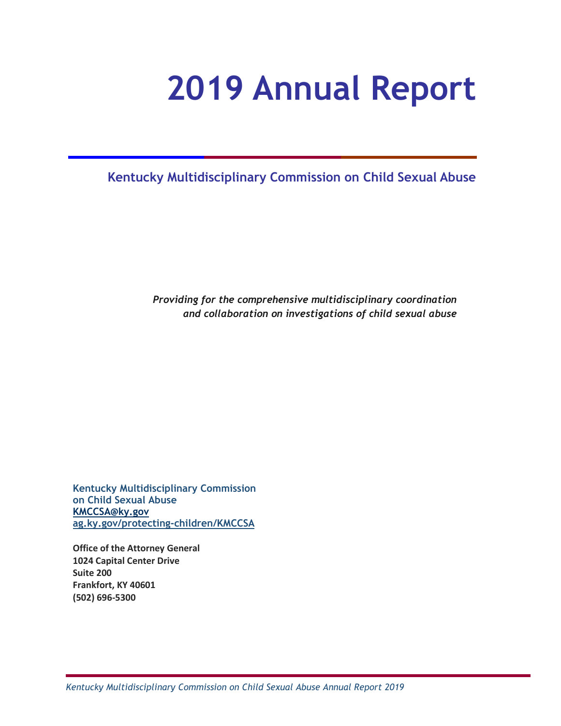# **2019 Annual Report**

**Kentucky Multidisciplinary Commission on Child Sexual Abuse**

*Providing for the comprehensive multidisciplinary coordination and collaboration on investigations of child sexual abuse* 

**Kentucky Multidisciplinary Commission on Child Sexual Abuse [KMCCSA@ky.gov](mailto:KMCCSA@ky.gov) [ag.ky.gov/protecting-children/KMCCSA](https://ag.ky.gov/protecting-children/KMCCSA)**

**Office of the Attorney General 1024 Capital Center Drive Suite 200 Frankfort, KY 40601 (502) 696-5300**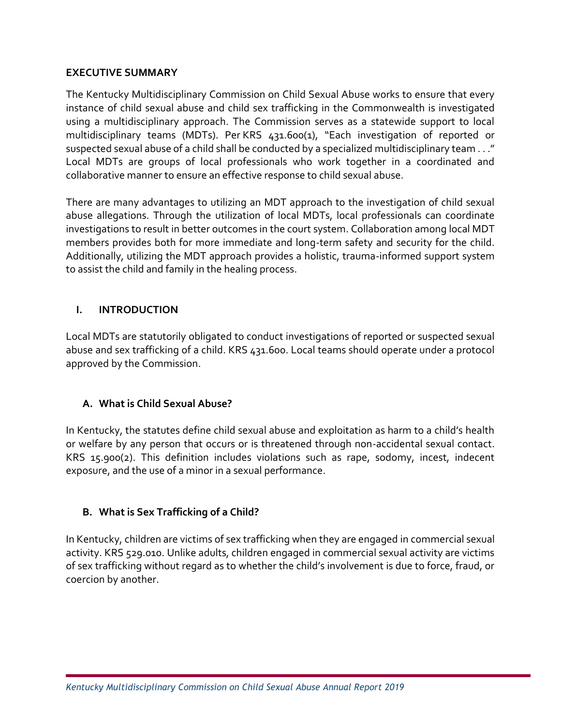#### **EXECUTIVE SUMMARY**

The Kentucky Multidisciplinary Commission on Child Sexual Abuse works to ensure that every instance of child sexual abuse and child sex trafficking in the Commonwealth is investigated using a multidisciplinary approach. The Commission serves as a statewide support to local multidisciplinary teams (MDTs). Per KRS 431.600(1), "Each investigation of reported or suspected sexual abuse of a child shall be conducted by a specialized multidisciplinary team . . ." Local MDTs are groups of local professionals who work together in a coordinated and collaborative manner to ensure an effective response to child sexual abuse.

There are many advantages to utilizing an MDT approach to the investigation of child sexual abuse allegations. Through the utilization of local MDTs, local professionals can coordinate investigations to result in better outcomes in the court system. Collaboration among local MDT members provides both for more immediate and long-term safety and security for the child. Additionally, utilizing the MDT approach provides a holistic, trauma-informed support system to assist the child and family in the healing process.

## **I. INTRODUCTION**

Local MDTs are statutorily obligated to conduct investigations of reported or suspected sexual abuse and sex trafficking of a child. KRS 431.600. Local teams should operate under a protocol approved by the Commission.

## **A. What is Child Sexual Abuse?**

In Kentucky, the statutes define child sexual abuse and exploitation as harm to a child's health or welfare by any person that occurs or is threatened through non-accidental sexual contact. KRS 15.900(2). This definition includes violations such as rape, sodomy, incest, indecent exposure, and the use of a minor in a sexual performance.

## **B. What is Sex Trafficking of a Child?**

In Kentucky, children are victims of sex trafficking when they are engaged in commercial sexual activity. KRS 529.010. Unlike adults, children engaged in commercial sexual activity are victims of sex trafficking without regard as to whether the child's involvement is due to force, fraud, or coercion by another.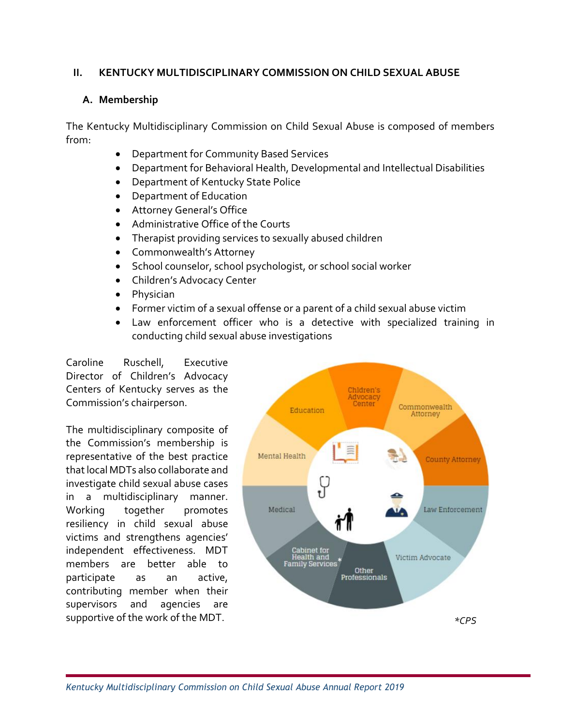#### **II. KENTUCKY MULTIDISCIPLINARY COMMISSION ON CHILD SEXUAL ABUSE**

#### **A. Membership**

The Kentucky Multidisciplinary Commission on Child Sexual Abuse is composed of members from:

- Department for Community Based Services
- Department for Behavioral Health, Developmental and Intellectual Disabilities
- Department of Kentucky State Police
- Department of Education
- Attorney General's Office
- Administrative Office of the Courts
- Therapist providing services to sexually abused children
- Commonwealth's Attorney
- School counselor, school psychologist, or school social worker
- Children's Advocacy Center
- Physician
- Former victim of a sexual offense or a parent of a child sexual abuse victim
- Law enforcement officer who is a detective with specialized training in conducting child sexual abuse investigations

Caroline Ruschell, Executive Director of Children's Advocacy Centers of Kentucky serves as the Commission's chairperson.

The multidisciplinary composite of the Commission's membership is representative of the best practice that local MDTs also collaborate and investigate child sexual abuse cases in a multidisciplinary manner. Working together promotes resiliency in child sexual abuse victims and strengthens agencies' independent effectiveness. MDT members are better able to participate as an active, contributing member when their supervisors and agencies are supportive of the work of the MDT.

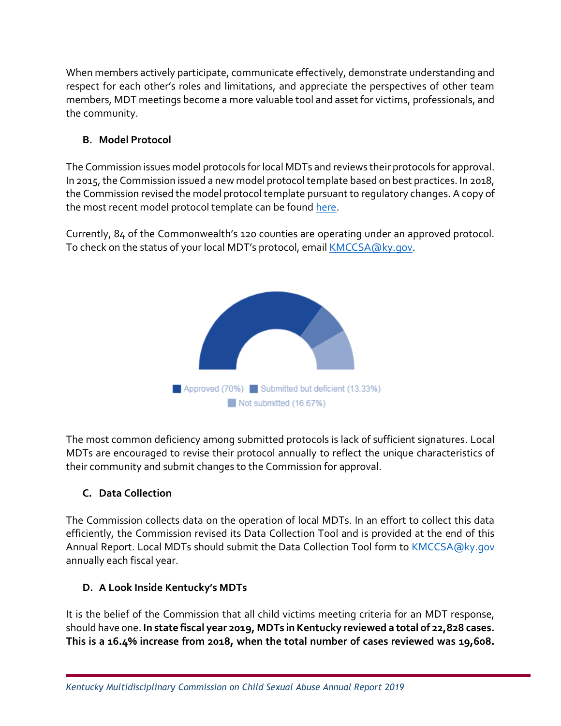When members actively participate, communicate effectively, demonstrate understanding and respect for each other's roles and limitations, and appreciate the perspectives of other team members, MDT meetings become a more valuable tool and asset for victims, professionals, and the community.

# **B. Model Protocol**

The Commission issues model protocols for local MDTs and reviews their protocols for approval. In 2015, the Commission issued a new model protocol template based on best practices. In 2018, the Commission revised the model protocol template pursuant to regulatory changes. A copy of the most recent model protocol template can be found [here.](https://ag.ky.gov/protecting-children/KMCCSA)

Currently, 84 of the Commonwealth's 120 counties are operating under an approved protocol. To check on the status of your local MDT's protocol, email [KMCCSA@ky.gov.](mailto:KMCCSA@ky.gov)



The most common deficiency among submitted protocols is lack of sufficient signatures. Local MDTs are encouraged to revise their protocol annually to reflect the unique characteristics of their community and submit changes to the Commission for approval.

# **C. Data Collection**

The Commission collects data on the operation of local MDTs. In an effort to collect this data efficiently, the Commission revised its Data Collection Tool and is provided at the end of this Annual Report. Local MDTs should submit the Data Collection Tool form to [KMCCSA@ky.gov](mailto:KMCCSA@ky.gov) annually each fiscal year.

# **D. A Look Inside Kentucky's MDTs**

It is the belief of the Commission that all child victims meeting criteria for an MDT response, should have one. **In state fiscal year 2019, MDTs in Kentucky reviewed a total of 22,828 cases. This is a 16.4% increase from 2018, when the total number of cases reviewed was 19,608.**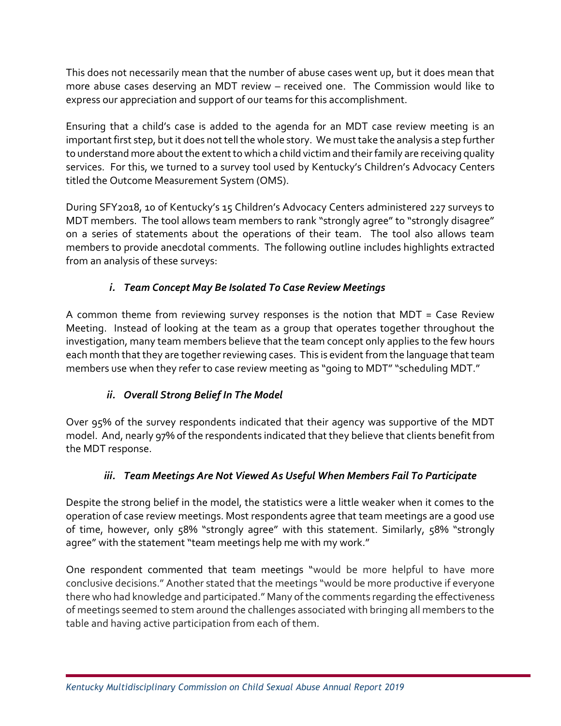This does not necessarily mean that the number of abuse cases went up, but it does mean that more abuse cases deserving an MDT review – received one. The Commission would like to express our appreciation and support of our teams for this accomplishment.

Ensuring that a child's case is added to the agenda for an MDT case review meeting is an important first step, but it does not tell the whole story. We must take the analysis a step further to understand more about the extent to which a child victim and their family are receiving quality services. For this, we turned to a survey tool used by Kentucky's Children's Advocacy Centers titled the Outcome Measurement System (OMS).

During SFY2018, 10 of Kentucky's 15 Children's Advocacy Centers administered 227 surveys to MDT members. The tool allows team members to rank "strongly agree" to "strongly disagree" on a series of statements about the operations of their team. The tool also allows team members to provide anecdotal comments. The following outline includes highlights extracted from an analysis of these surveys:

# *i. Team Concept May Be Isolated To Case Review Meetings*

A common theme from reviewing survey responses is the notion that MDT = Case Review Meeting. Instead of looking at the team as a group that operates together throughout the investigation, many team members believe that the team concept only applies to the few hours each month that they are together reviewing cases. This is evident from the language that team members use when they refer to case review meeting as "going to MDT" "scheduling MDT."

# *ii. Overall Strong Belief In The Model*

Over 95% of the survey respondents indicated that their agency was supportive of the MDT model. And, nearly 97% of the respondents indicated that they believe that clients benefit from the MDT response.

# *iii. Team Meetings Are Not Viewed As Useful When Members Fail To Participate*

Despite the strong belief in the model, the statistics were a little weaker when it comes to the operation of case review meetings. Most respondents agree that team meetings are a good use of time, however, only 58% "strongly agree" with this statement. Similarly, 58% "strongly agree" with the statement "team meetings help me with my work."

One respondent commented that team meetings "would be more helpful to have more conclusive decisions." Another stated that the meetings "would be more productive if everyone there who had knowledge and participated." Many of the comments regarding the effectiveness of meetings seemed to stem around the challenges associated with bringing all members to the table and having active participation from each of them.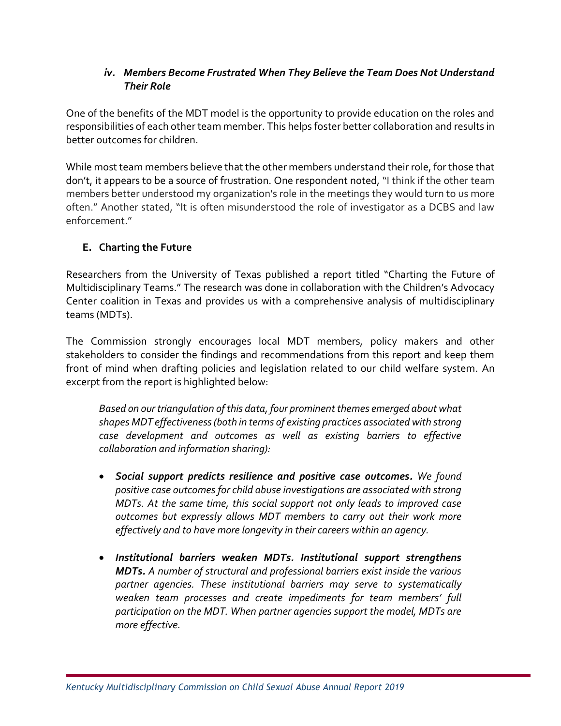### *iv. Members Become Frustrated When They Believe the Team Does Not Understand Their Role*

One of the benefits of the MDT model is the opportunity to provide education on the roles and responsibilities of each other team member. This helps foster better collaboration and results in better outcomes for children.

While most team members believe that the other members understand their role, for those that don't, it appears to be a source of frustration. One respondent noted, "I think if the other team members better understood my organization's role in the meetings they would turn to us more often." Another stated, "It is often misunderstood the role of investigator as a DCBS and law enforcement."

# **E. Charting the Future**

Researchers from the University of Texas published a report titled "Charting the Future of Multidisciplinary Teams." The research was done in collaboration with the Children's Advocacy Center coalition in Texas and provides us with a comprehensive analysis of multidisciplinary teams (MDTs).

The Commission strongly encourages local MDT members, policy makers and other stakeholders to consider the findings and recommendations from this report and keep them front of mind when drafting policies and legislation related to our child welfare system. An excerpt from the report is highlighted below:

*Based on our triangulation of this data, four prominent themes emerged about what shapes MDT effectiveness (both in terms of existing practices associated with strong case development and outcomes as well as existing barriers to effective collaboration and information sharing):* 

- *Social support predicts resilience and positive case outcomes. We found positive case outcomes for child abuse investigations are associated with strong MDTs. At the same time, this social support not only leads to improved case outcomes but expressly allows MDT members to carry out their work more effectively and to have more longevity in their careers within an agency.*
- *Institutional barriers weaken MDTs. Institutional support strengthens MDTs. A number of structural and professional barriers exist inside the various partner agencies. These institutional barriers may serve to systematically weaken team processes and create impediments for team members' full participation on the MDT. When partner agencies support the model, MDTs are more effective.*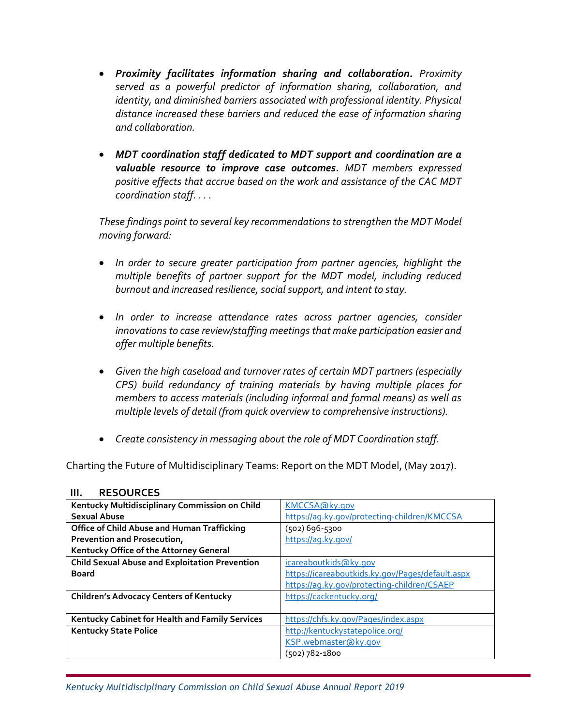- *Proximity facilitates information sharing and collaboration. Proximity served as a powerful predictor of information sharing, collaboration, and identity, and diminished barriers associated with professional identity. Physical distance increased these barriers and reduced the ease of information sharing and collaboration.*
- *MDT coordination staff dedicated to MDT support and coordination are a valuable resource to improve case outcomes. MDT members expressed positive effects that accrue based on the work and assistance of the CAC MDT coordination staff. . . .*

*These findings point to several key recommendations to strengthen the MDT Model moving forward:* 

- *In order to secure greater participation from partner agencies, highlight the multiple benefits of partner support for the MDT model, including reduced burnout and increased resilience, social support, and intent to stay.*
- *In order to increase attendance rates across partner agencies, consider innovations to case review/staffing meetings that make participation easier and offer multiple benefits.*
- *Given the high caseload and turnover rates of certain MDT partners (especially CPS) build redundancy of training materials by having multiple places for members to access materials (including informal and formal means) as well as multiple levels of detail (from quick overview to comprehensive instructions).*
- *Create consistency in messaging about the role of MDT Coordination staff.*

Charting the Future of Multidisciplinary Teams: Report on the MDT Model, (May 2017).

| Kentucky Multidisciplinary Commission on Child        | KMCCSA@ky.gov                                    |
|-------------------------------------------------------|--------------------------------------------------|
| <b>Sexual Abuse</b>                                   | https://aq.ky.gov/protecting-children/KMCCSA     |
| Office of Child Abuse and Human Trafficking           | (502) 696-5300                                   |
| Prevention and Prosecution,                           | https://aq.ky.gov/                               |
| Kentucky Office of the Attorney General               |                                                  |
| <b>Child Sexual Abuse and Exploitation Prevention</b> | icareaboutkids@ky.gov                            |
| Board                                                 | https://icareaboutkids.ky.gov/Pages/default.aspx |
|                                                       | https://aq.ky.gov/protecting-children/CSAEP      |
| <b>Children's Advocacy Centers of Kentucky</b>        | https://cackentucky.org/                         |
|                                                       |                                                  |
| Kentucky Cabinet for Health and Family Services       | https://chfs.ky.gov/Pages/index.aspx             |
| <b>Kentucky State Police</b>                          | http://kentuckystatepolice.org/                  |
|                                                       | KSP.webmaster@ky.gov                             |
|                                                       | (502) 782-1800                                   |

#### **III. RESOURCES**